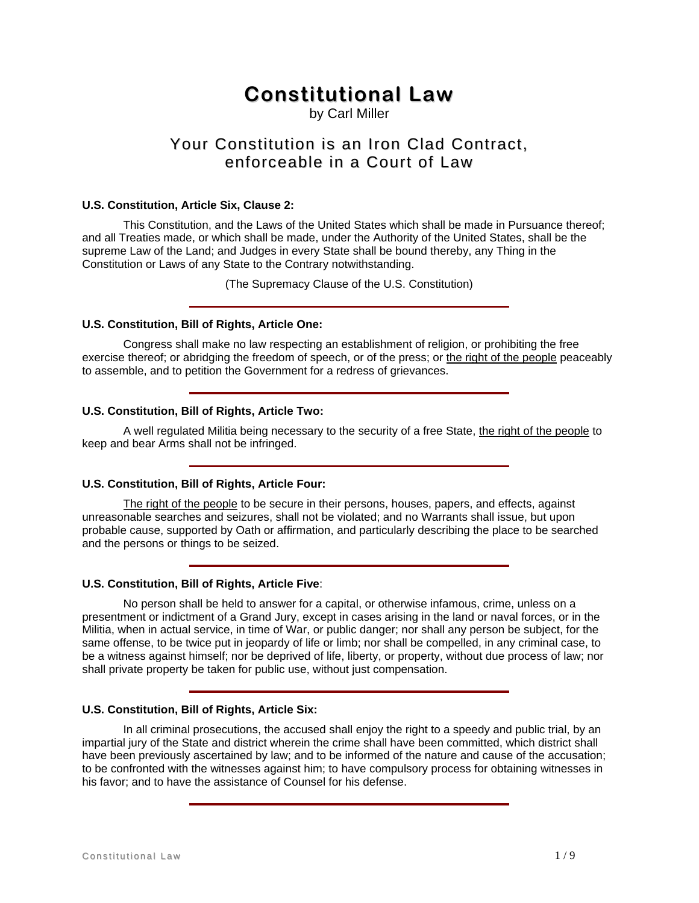# **Constitutional Law**

by Carl Miller

# Your Constitution is an Iron Clad Contract, enforceable in a Court of Law

# **U.S. Constitution, Article Six, Clause 2:**

 This Constitution, and the Laws of the United States which shall be made in Pursuance thereof; and all Treaties made, or which shall be made, under the Authority of the United States, shall be the supreme Law of the Land; and Judges in every State shall be bound thereby, any Thing in the Constitution or Laws of any State to the Contrary notwithstanding.

(The Supremacy Clause of the U.S. Constitution)

#### **U.S. Constitution, Bill of Rights, Article One:**

 Congress shall make no law respecting an establishment of religion, or prohibiting the free exercise thereof; or abridging the freedom of speech, or of the press; or the right of the people peaceably to assemble, and to petition the Government for a redress of grievances.

# **U.S. Constitution, Bill of Rights, Article Two:**

 A well regulated Militia being necessary to the security of a free State, the right of the people to keep and bear Arms shall not be infringed.

# **U.S. Constitution, Bill of Rights, Article Four:**

 The right of the people to be secure in their persons, houses, papers, and effects, against unreasonable searches and seizures, shall not be violated; and no Warrants shall issue, but upon probable cause, supported by Oath or affirmation, and particularly describing the place to be searched and the persons or things to be seized.

# **U.S. Constitution, Bill of Rights, Article Five**:

 No person shall be held to answer for a capital, or otherwise infamous, crime, unless on a presentment or indictment of a Grand Jury, except in cases arising in the land or naval forces, or in the Militia, when in actual service, in time of War, or public danger; nor shall any person be subject, for the same offense, to be twice put in jeopardy of life or limb; nor shall be compelled, in any criminal case, to be a witness against himself; nor be deprived of life, liberty, or property, without due process of law; nor shall private property be taken for public use, without just compensation.

# **U.S. Constitution, Bill of Rights, Article Six:**

 In all criminal prosecutions, the accused shall enjoy the right to a speedy and public trial, by an impartial jury of the State and district wherein the crime shall have been committed, which district shall have been previously ascertained by law; and to be informed of the nature and cause of the accusation; to be confronted with the witnesses against him; to have compulsory process for obtaining witnesses in his favor; and to have the assistance of Counsel for his defense.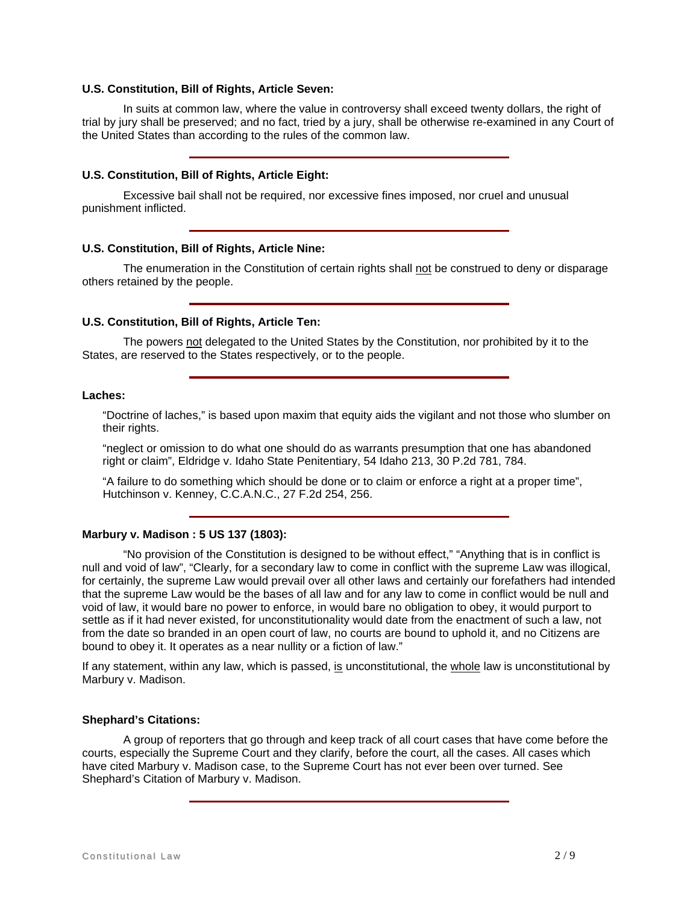#### **U.S. Constitution, Bill of Rights, Article Seven:**

 In suits at common law, where the value in controversy shall exceed twenty dollars, the right of trial by jury shall be preserved; and no fact, tried by a jury, shall be otherwise re-examined in any Court of the United States than according to the rules of the common law.

# **U.S. Constitution, Bill of Rights, Article Eight:**

 Excessive bail shall not be required, nor excessive fines imposed, nor cruel and unusual punishment inflicted.

#### **U.S. Constitution, Bill of Rights, Article Nine:**

The enumeration in the Constitution of certain rights shall not be construed to deny or disparage others retained by the people.

#### **U.S. Constitution, Bill of Rights, Article Ten:**

 The powers not delegated to the United States by the Constitution, nor prohibited by it to the States, are reserved to the States respectively, or to the people.

# **Laches:**

 "Doctrine of laches," is based upon maxim that equity aids the vigilant and not those who slumber on their rights.

 "neglect or omission to do what one should do as warrants presumption that one has abandoned right or claim", Eldridge v. Idaho State Penitentiary, 54 Idaho 213, 30 P.2d 781, 784.

 "A failure to do something which should be done or to claim or enforce a right at a proper time", Hutchinson v. Kenney, C.C.A.N.C., 27 F.2d 254, 256.

#### **Marbury v. Madison : 5 US 137 (1803):**

 "No provision of the Constitution is designed to be without effect," "Anything that is in conflict is null and void of law", "Clearly, for a secondary law to come in conflict with the supreme Law was illogical, for certainly, the supreme Law would prevail over all other laws and certainly our forefathers had intended that the supreme Law would be the bases of all law and for any law to come in conflict would be null and void of law, it would bare no power to enforce, in would bare no obligation to obey, it would purport to settle as if it had never existed, for unconstitutionality would date from the enactment of such a law, not from the date so branded in an open court of law, no courts are bound to uphold it, and no Citizens are bound to obey it. It operates as a near nullity or a fiction of law."

If any statement, within any law, which is passed, is unconstitutional, the whole law is unconstitutional by Marbury v. Madison.

#### **Shephard's Citations:**

 A group of reporters that go through and keep track of all court cases that have come before the courts, especially the Supreme Court and they clarify, before the court, all the cases. All cases which have cited Marbury v. Madison case, to the Supreme Court has not ever been over turned. See Shephard's Citation of Marbury v. Madison.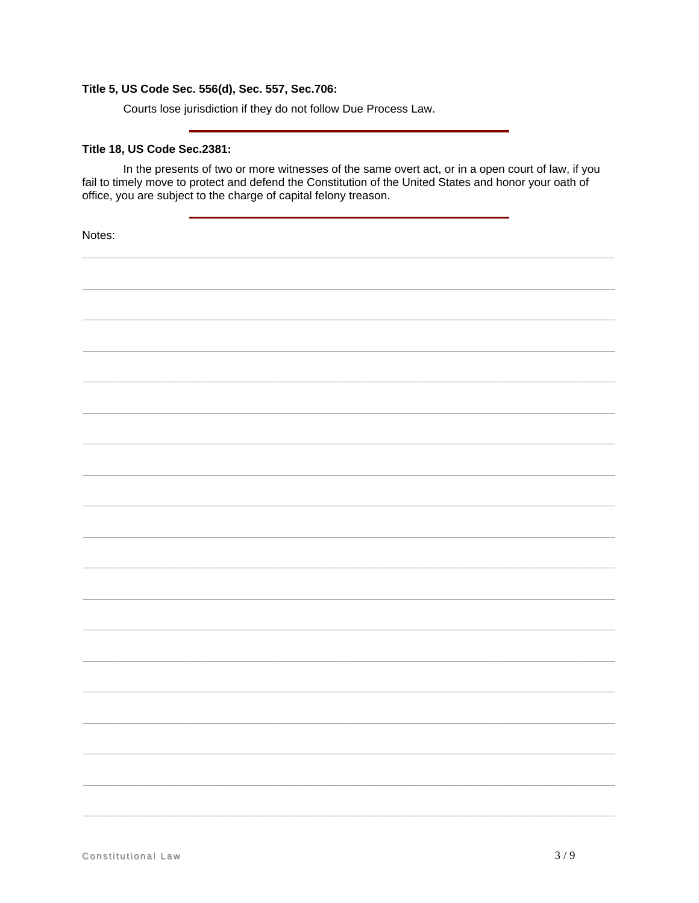# Title 5, US Code Sec. 556(d), Sec. 557, Sec.706:

Courts lose jurisdiction if they do not follow Due Process Law.

# Title 18, US Code Sec.2381:

In the presents of two or more witnesses of the same overt act, or in a open court of law, if you fail to timely move to protect and defend the Constitution of the United States and honor your oath of office, you are subject to the charge of capital felony treason.

Notes: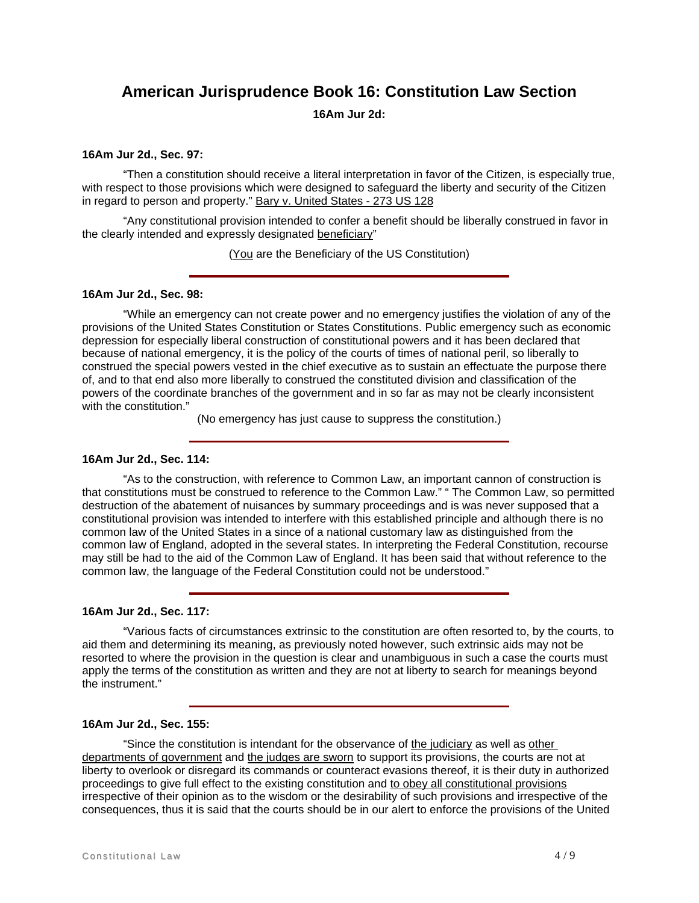# **American Jurisprudence Book 16: Constitution Law Section**

**16Am Jur 2d:** 

#### **16Am Jur 2d., Sec. 97:**

 "Then a constitution should receive a literal interpretation in favor of the Citizen, is especially true, with respect to those provisions which were designed to safeguard the liberty and security of the Citizen in regard to person and property." Bary v. United States - 273 US 128

 "Any constitutional provision intended to confer a benefit should be liberally construed in favor in the clearly intended and expressly designated beneficiary"

(You are the Beneficiary of the US Constitution)

#### **16Am Jur 2d., Sec. 98:**

 "While an emergency can not create power and no emergency justifies the violation of any of the provisions of the United States Constitution or States Constitutions. Public emergency such as economic depression for especially liberal construction of constitutional powers and it has been declared that because of national emergency, it is the policy of the courts of times of national peril, so liberally to construed the special powers vested in the chief executive as to sustain an effectuate the purpose there of, and to that end also more liberally to construed the constituted division and classification of the powers of the coordinate branches of the government and in so far as may not be clearly inconsistent with the constitution."

(No emergency has just cause to suppress the constitution.)

#### **16Am Jur 2d., Sec. 114:**

 "As to the construction, with reference to Common Law, an important cannon of construction is that constitutions must be construed to reference to the Common Law." " The Common Law, so permitted destruction of the abatement of nuisances by summary proceedings and is was never supposed that a constitutional provision was intended to interfere with this established principle and although there is no common law of the United States in a since of a national customary law as distinguished from the common law of England, adopted in the several states. In interpreting the Federal Constitution, recourse may still be had to the aid of the Common Law of England. It has been said that without reference to the common law, the language of the Federal Constitution could not be understood."

#### **16Am Jur 2d., Sec. 117:**

 "Various facts of circumstances extrinsic to the constitution are often resorted to, by the courts, to aid them and determining its meaning, as previously noted however, such extrinsic aids may not be resorted to where the provision in the question is clear and unambiguous in such a case the courts must apply the terms of the constitution as written and they are not at liberty to search for meanings beyond the instrument."

#### **16Am Jur 2d., Sec. 155:**

 "Since the constitution is intendant for the observance of the judiciary as well as other departments of government and the judges are sworn to support its provisions, the courts are not at liberty to overlook or disregard its commands or counteract evasions thereof, it is their duty in authorized proceedings to give full effect to the existing constitution and to obey all constitutional provisions irrespective of their opinion as to the wisdom or the desirability of such provisions and irrespective of the consequences, thus it is said that the courts should be in our alert to enforce the provisions of the United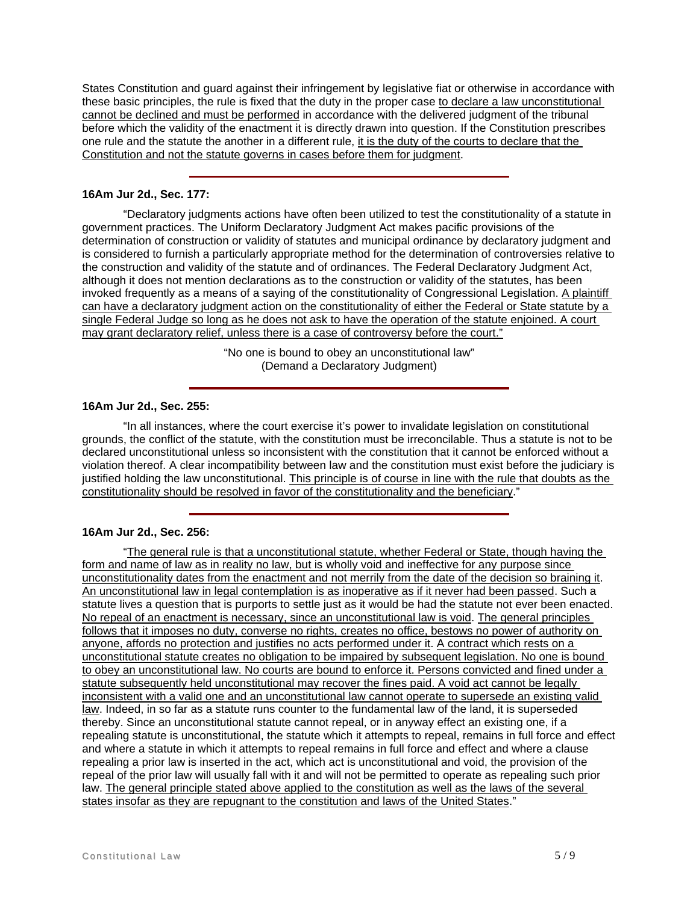States Constitution and guard against their infringement by legislative fiat or otherwise in accordance with these basic principles, the rule is fixed that the duty in the proper case to declare a law unconstitutional cannot be declined and must be performed in accordance with the delivered judgment of the tribunal before which the validity of the enactment it is directly drawn into question. If the Constitution prescribes one rule and the statute the another in a different rule, it is the duty of the courts to declare that the Constitution and not the statute governs in cases before them for judgment.

## **16Am Jur 2d., Sec. 177:**

 "Declaratory judgments actions have often been utilized to test the constitutionality of a statute in government practices. The Uniform Declaratory Judgment Act makes pacific provisions of the determination of construction or validity of statutes and municipal ordinance by declaratory judgment and is considered to furnish a particularly appropriate method for the determination of controversies relative to the construction and validity of the statute and of ordinances. The Federal Declaratory Judgment Act, although it does not mention declarations as to the construction or validity of the statutes, has been invoked frequently as a means of a saying of the constitutionality of Congressional Legislation. A plaintiff can have a declaratory judgment action on the constitutionality of either the Federal or State statute by a single Federal Judge so long as he does not ask to have the operation of the statute enjoined. A court may grant declaratory relief, unless there is a case of controversy before the court."

> "No one is bound to obey an unconstitutional law" (Demand a Declaratory Judgment)

#### **16Am Jur 2d., Sec. 255:**

 "In all instances, where the court exercise it's power to invalidate legislation on constitutional grounds, the conflict of the statute, with the constitution must be irreconcilable. Thus a statute is not to be declared unconstitutional unless so inconsistent with the constitution that it cannot be enforced without a violation thereof. A clear incompatibility between law and the constitution must exist before the judiciary is justified holding the law unconstitutional. This principle is of course in line with the rule that doubts as the constitutionality should be resolved in favor of the constitutionality and the beneficiary."

#### **16Am Jur 2d., Sec. 256:**

 "The general rule is that a unconstitutional statute, whether Federal or State, though having the form and name of law as in reality no law, but is wholly void and ineffective for any purpose since unconstitutionality dates from the enactment and not merrily from the date of the decision so braining it. An unconstitutional law in legal contemplation is as inoperative as if it never had been passed. Such a statute lives a question that is purports to settle just as it would be had the statute not ever been enacted. No repeal of an enactment is necessary, since an unconstitutional law is void. The general principles follows that it imposes no duty, converse no rights, creates no office, bestows no power of authority on anyone, affords no protection and justifies no acts performed under it. A contract which rests on a unconstitutional statute creates no obligation to be impaired by subsequent legislation. No one is bound to obey an unconstitutional law. No courts are bound to enforce it. Persons convicted and fined under a statute subsequently held unconstitutional may recover the fines paid. A void act cannot be legally inconsistent with a valid one and an unconstitutional law cannot operate to supersede an existing valid law. Indeed, in so far as a statute runs counter to the fundamental law of the land, it is superseded thereby. Since an unconstitutional statute cannot repeal, or in anyway effect an existing one, if a repealing statute is unconstitutional, the statute which it attempts to repeal, remains in full force and effect and where a statute in which it attempts to repeal remains in full force and effect and where a clause repealing a prior law is inserted in the act, which act is unconstitutional and void, the provision of the repeal of the prior law will usually fall with it and will not be permitted to operate as repealing such prior law. The general principle stated above applied to the constitution as well as the laws of the several states insofar as they are repugnant to the constitution and laws of the United States."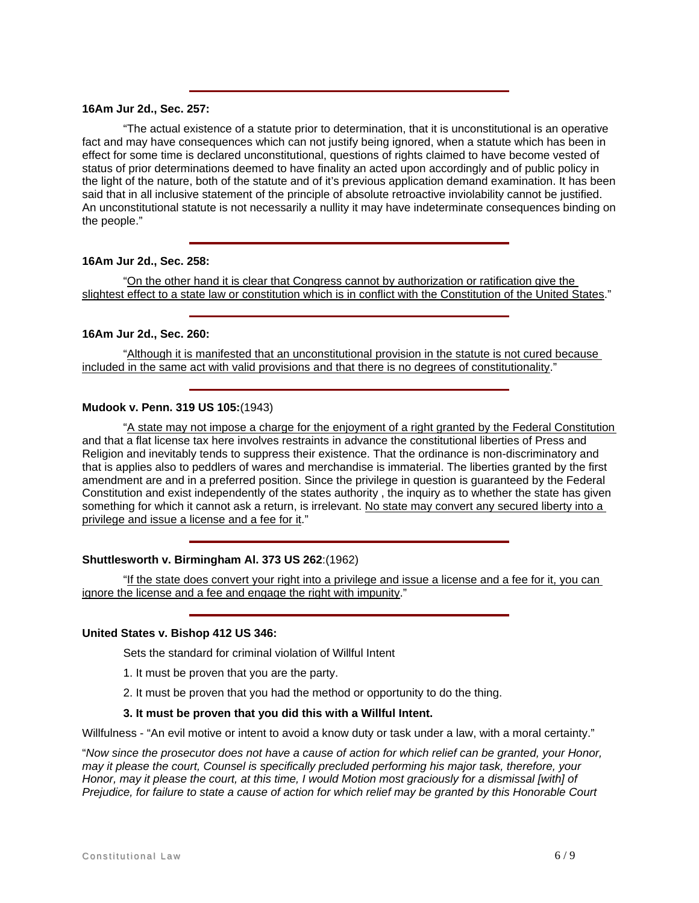# **16Am Jur 2d., Sec. 257:**

 "The actual existence of a statute prior to determination, that it is unconstitutional is an operative fact and may have consequences which can not justify being ignored, when a statute which has been in effect for some time is declared unconstitutional, questions of rights claimed to have become vested of status of prior determinations deemed to have finality an acted upon accordingly and of public policy in the light of the nature, both of the statute and of it's previous application demand examination. It has been said that in all inclusive statement of the principle of absolute retroactive inviolability cannot be justified. An unconstitutional statute is not necessarily a nullity it may have indeterminate consequences binding on the people."

## **16Am Jur 2d., Sec. 258:**

 "On the other hand it is clear that Congress cannot by authorization or ratification give the slightest effect to a state law or constitution which is in conflict with the Constitution of the United States."

#### **16Am Jur 2d., Sec. 260:**

 "Although it is manifested that an unconstitutional provision in the statute is not cured because included in the same act with valid provisions and that there is no degrees of constitutionality."

# **Mudook v. Penn. 319 US 105:**(1943)

 "A state may not impose a charge for the enjoyment of a right granted by the Federal Constitution and that a flat license tax here involves restraints in advance the constitutional liberties of Press and Religion and inevitably tends to suppress their existence. That the ordinance is non-discriminatory and that is applies also to peddlers of wares and merchandise is immaterial. The liberties granted by the first amendment are and in a preferred position. Since the privilege in question is guaranteed by the Federal Constitution and exist independently of the states authority , the inquiry as to whether the state has given something for which it cannot ask a return, is irrelevant. No state may convert any secured liberty into a privilege and issue a license and a fee for it."

#### **Shuttlesworth v. Birmingham Al. 373 US 262**:(1962)

 "If the state does convert your right into a privilege and issue a license and a fee for it, you can ignore the license and a fee and engage the right with impunity."

### **United States v. Bishop 412 US 346:**

Sets the standard for criminal violation of Willful Intent

- 1. It must be proven that you are the party.
- 2. It must be proven that you had the method or opportunity to do the thing.

#### **3. It must be proven that you did this with a Willful Intent.**

Willfulness - "An evil motive or intent to avoid a know duty or task under a law, with a moral certainty."

"*Now since the prosecutor does not have a cause of action for which relief can be granted, your Honor, may it please the court, Counsel is specifically precluded performing his major task, therefore, your Honor, may it please the court, at this time, I would Motion most graciously for a dismissal [with] of Prejudice, for failure to state a cause of action for which relief may be granted by this Honorable Court*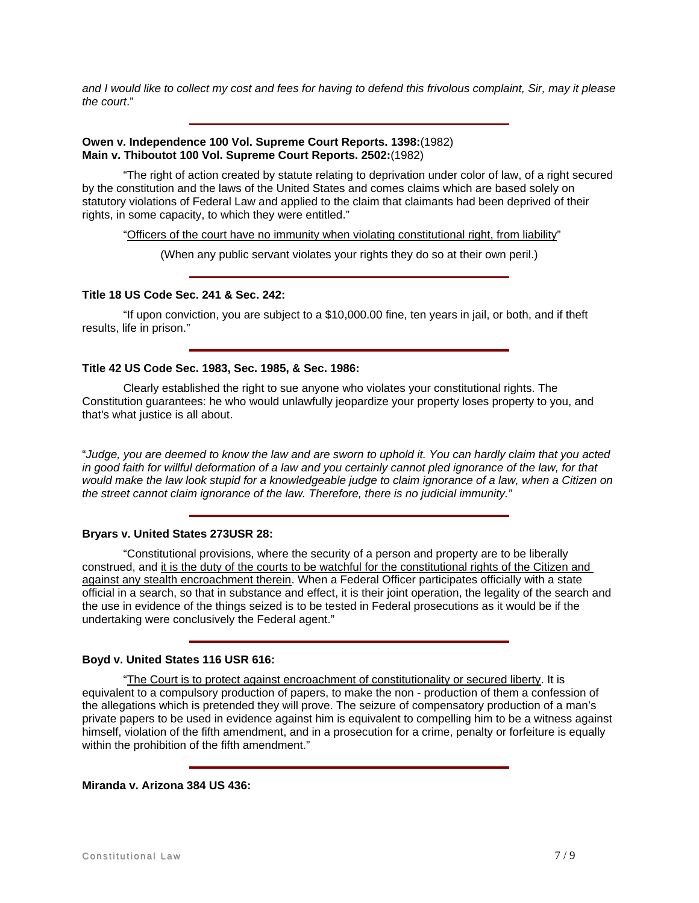*and I would like to collect my cost and fees for having to defend this frivolous complaint, Sir, may it please the court*."

### **Owen v. Independence 100 Vol. Supreme Court Reports. 1398:**(1982) **Main v. Thiboutot 100 Vol. Supreme Court Reports. 2502:**(1982)

 "The right of action created by statute relating to deprivation under color of law, of a right secured by the constitution and the laws of the United States and comes claims which are based solely on statutory violations of Federal Law and applied to the claim that claimants had been deprived of their rights, in some capacity, to which they were entitled."

"Officers of the court have no immunity when violating constitutional right, from liability"

(When any public servant violates your rights they do so at their own peril.)

### **Title 18 US Code Sec. 241 & Sec. 242:**

 "If upon conviction, you are subject to a \$10,000.00 fine, ten years in jail, or both, and if theft results, life in prison."

#### **Title 42 US Code Sec. 1983, Sec. 1985, & Sec. 1986:**

 Clearly established the right to sue anyone who violates your constitutional rights. The Constitution guarantees: he who would unlawfully jeopardize your property loses property to you, and that's what justice is all about.

"*Judge, you are deemed to know the law and are sworn to uphold it. You can hardly claim that you acted in good faith for willful deformation of a law and you certainly cannot pled ignorance of the law, for that would make the law look stupid for a knowledgeable judge to claim ignorance of a law, when a Citizen on the street cannot claim ignorance of the law. Therefore, there is no judicial immunity."*

# **Bryars v. United States 273USR 28:**

 "Constitutional provisions, where the security of a person and property are to be liberally construed, and it is the duty of the courts to be watchful for the constitutional rights of the Citizen and against any stealth encroachment therein. When a Federal Officer participates officially with a state official in a search, so that in substance and effect, it is their joint operation, the legality of the search and the use in evidence of the things seized is to be tested in Federal prosecutions as it would be if the undertaking were conclusively the Federal agent."

#### **Boyd v. United States 116 USR 616:**

 "The Court is to protect against encroachment of constitutionality or secured liberty. It is equivalent to a compulsory production of papers, to make the non - production of them a confession of the allegations which is pretended they will prove. The seizure of compensatory production of a man's private papers to be used in evidence against him is equivalent to compelling him to be a witness against himself, violation of the fifth amendment, and in a prosecution for a crime, penalty or forfeiture is equally within the prohibition of the fifth amendment."

**Miranda v. Arizona 384 US 436:**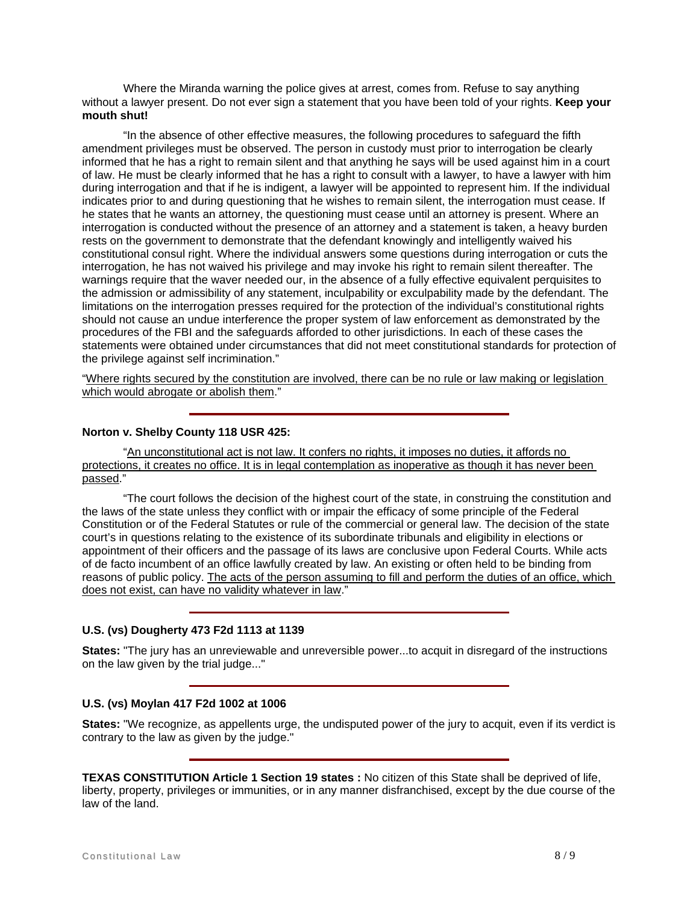Where the Miranda warning the police gives at arrest, comes from. Refuse to say anything without a lawyer present. Do not ever sign a statement that you have been told of your rights. **Keep your mouth shut!** 

 "In the absence of other effective measures, the following procedures to safeguard the fifth amendment privileges must be observed. The person in custody must prior to interrogation be clearly informed that he has a right to remain silent and that anything he says will be used against him in a court of law. He must be clearly informed that he has a right to consult with a lawyer, to have a lawyer with him during interrogation and that if he is indigent, a lawyer will be appointed to represent him. If the individual indicates prior to and during questioning that he wishes to remain silent, the interrogation must cease. If he states that he wants an attorney, the questioning must cease until an attorney is present. Where an interrogation is conducted without the presence of an attorney and a statement is taken, a heavy burden rests on the government to demonstrate that the defendant knowingly and intelligently waived his constitutional consul right. Where the individual answers some questions during interrogation or cuts the interrogation, he has not waived his privilege and may invoke his right to remain silent thereafter. The warnings require that the waver needed our, in the absence of a fully effective equivalent perquisites to the admission or admissibility of any statement, inculpability or exculpability made by the defendant. The limitations on the interrogation presses required for the protection of the individual's constitutional rights should not cause an undue interference the proper system of law enforcement as demonstrated by the procedures of the FBI and the safeguards afforded to other jurisdictions. In each of these cases the statements were obtained under circumstances that did not meet constitutional standards for protection of the privilege against self incrimination."

"Where rights secured by the constitution are involved, there can be no rule or law making or legislation which would abrogate or abolish them."

# **Norton v. Shelby County 118 USR 425:**

 "An unconstitutional act is not law. It confers no rights, it imposes no duties, it affords no protections, it creates no office. It is in legal contemplation as inoperative as though it has never been passed."

 "The court follows the decision of the highest court of the state, in construing the constitution and the laws of the state unless they conflict with or impair the efficacy of some principle of the Federal Constitution or of the Federal Statutes or rule of the commercial or general law. The decision of the state court's in questions relating to the existence of its subordinate tribunals and eligibility in elections or appointment of their officers and the passage of its laws are conclusive upon Federal Courts. While acts of de facto incumbent of an office lawfully created by law. An existing or often held to be binding from reasons of public policy. The acts of the person assuming to fill and perform the duties of an office, which does not exist, can have no validity whatever in law."

# **U.S. (vs) Dougherty 473 F2d 1113 at 1139**

**States:** "The jury has an unreviewable and unreversible power...to acquit in disregard of the instructions on the law given by the trial judge..."

# **U.S. (vs) Moylan 417 F2d 1002 at 1006**

**States:** "We recognize, as appellents urge, the undisputed power of the jury to acquit, even if its verdict is contrary to the law as given by the judge."

**TEXAS CONSTITUTION Article 1 Section 19 states :** No citizen of this State shall be deprived of life, liberty, property, privileges or immunities, or in any manner disfranchised, except by the due course of the law of the land.